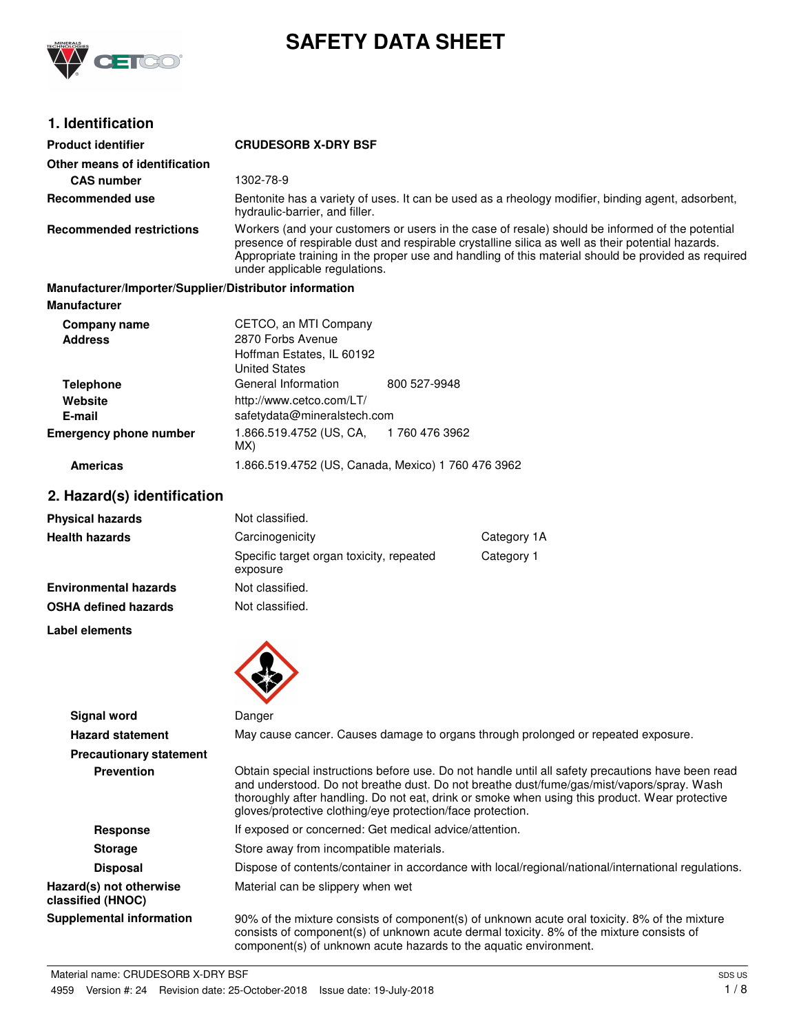

# **SAFETY DATA SHEET**

# **1. Identification**

| 11 IWVIILIIVUU                                         |                                                                                                                                                                                                                                                                                                                                              |                                                                                                   |             |  |
|--------------------------------------------------------|----------------------------------------------------------------------------------------------------------------------------------------------------------------------------------------------------------------------------------------------------------------------------------------------------------------------------------------------|---------------------------------------------------------------------------------------------------|-------------|--|
| <b>Product identifier</b>                              | <b>CRUDESORB X-DRY BSF</b>                                                                                                                                                                                                                                                                                                                   |                                                                                                   |             |  |
| Other means of identification                          |                                                                                                                                                                                                                                                                                                                                              |                                                                                                   |             |  |
| <b>CAS number</b>                                      | 1302-78-9                                                                                                                                                                                                                                                                                                                                    |                                                                                                   |             |  |
| Recommended use                                        | hydraulic-barrier, and filler.                                                                                                                                                                                                                                                                                                               | Bentonite has a variety of uses. It can be used as a rheology modifier, binding agent, adsorbent, |             |  |
| <b>Recommended restrictions</b>                        | Workers (and your customers or users in the case of resale) should be informed of the potential<br>presence of respirable dust and respirable crystalline silica as well as their potential hazards.<br>Appropriate training in the proper use and handling of this material should be provided as required<br>under applicable regulations. |                                                                                                   |             |  |
| Manufacturer/Importer/Supplier/Distributor information |                                                                                                                                                                                                                                                                                                                                              |                                                                                                   |             |  |
| <b>Manufacturer</b>                                    |                                                                                                                                                                                                                                                                                                                                              |                                                                                                   |             |  |
| Company name                                           | CETCO, an MTI Company                                                                                                                                                                                                                                                                                                                        |                                                                                                   |             |  |
| <b>Address</b>                                         | 2870 Forbs Avenue                                                                                                                                                                                                                                                                                                                            |                                                                                                   |             |  |
|                                                        | Hoffman Estates, IL 60192<br><b>United States</b>                                                                                                                                                                                                                                                                                            |                                                                                                   |             |  |
| <b>Telephone</b>                                       | General Information                                                                                                                                                                                                                                                                                                                          | 800 527-9948                                                                                      |             |  |
| Website                                                | http://www.cetco.com/LT/                                                                                                                                                                                                                                                                                                                     |                                                                                                   |             |  |
| E-mail                                                 | safetydata@mineralstech.com                                                                                                                                                                                                                                                                                                                  |                                                                                                   |             |  |
| <b>Emergency phone number</b>                          | 1.866.519.4752 (US, CA,<br>MX)                                                                                                                                                                                                                                                                                                               | 1760 476 3962                                                                                     |             |  |
| <b>Americas</b>                                        | 1.866.519.4752 (US, Canada, Mexico) 1 760 476 3962                                                                                                                                                                                                                                                                                           |                                                                                                   |             |  |
| 2. Hazard(s) identification                            |                                                                                                                                                                                                                                                                                                                                              |                                                                                                   |             |  |
| <b>Physical hazards</b>                                | Not classified.                                                                                                                                                                                                                                                                                                                              |                                                                                                   |             |  |
| <b>Health hazards</b>                                  | Carcinogenicity                                                                                                                                                                                                                                                                                                                              |                                                                                                   | Category 1A |  |
|                                                        | Specific target organ toxicity, repeated<br>exposure                                                                                                                                                                                                                                                                                         |                                                                                                   | Category 1  |  |
| <b>Environmental hazards</b>                           | Not classified.                                                                                                                                                                                                                                                                                                                              |                                                                                                   |             |  |
| OSHA defined hazards                                   | Not classified.                                                                                                                                                                                                                                                                                                                              |                                                                                                   |             |  |
|                                                        |                                                                                                                                                                                                                                                                                                                                              |                                                                                                   |             |  |

**Label elements**



|                                              | $\bullet$                                                                                                                                                                                                                                                                                                                                                      |
|----------------------------------------------|----------------------------------------------------------------------------------------------------------------------------------------------------------------------------------------------------------------------------------------------------------------------------------------------------------------------------------------------------------------|
| <b>Signal word</b>                           | Danger                                                                                                                                                                                                                                                                                                                                                         |
| <b>Hazard statement</b>                      | May cause cancer. Causes damage to organs through prolonged or repeated exposure.                                                                                                                                                                                                                                                                              |
| <b>Precautionary statement</b>               |                                                                                                                                                                                                                                                                                                                                                                |
| <b>Prevention</b>                            | Obtain special instructions before use. Do not handle until all safety precautions have been read<br>and understood. Do not breathe dust. Do not breathe dust/fume/gas/mist/vapors/spray. Wash<br>thoroughly after handling. Do not eat, drink or smoke when using this product. Wear protective<br>gloves/protective clothing/eye protection/face protection. |
| <b>Response</b>                              | If exposed or concerned: Get medical advice/attention.                                                                                                                                                                                                                                                                                                         |
| <b>Storage</b>                               | Store away from incompatible materials.                                                                                                                                                                                                                                                                                                                        |
| <b>Disposal</b>                              | Dispose of contents/container in accordance with local/regional/national/international regulations.                                                                                                                                                                                                                                                            |
| Hazard(s) not otherwise<br>classified (HNOC) | Material can be slippery when wet                                                                                                                                                                                                                                                                                                                              |
| Supplemental information                     | 90% of the mixture consists of component(s) of unknown acute oral toxicity. 8% of the mixture<br>consists of component(s) of unknown acute dermal toxicity. 8% of the mixture consists of<br>component(s) of unknown acute hazards to the aquatic environment.                                                                                                 |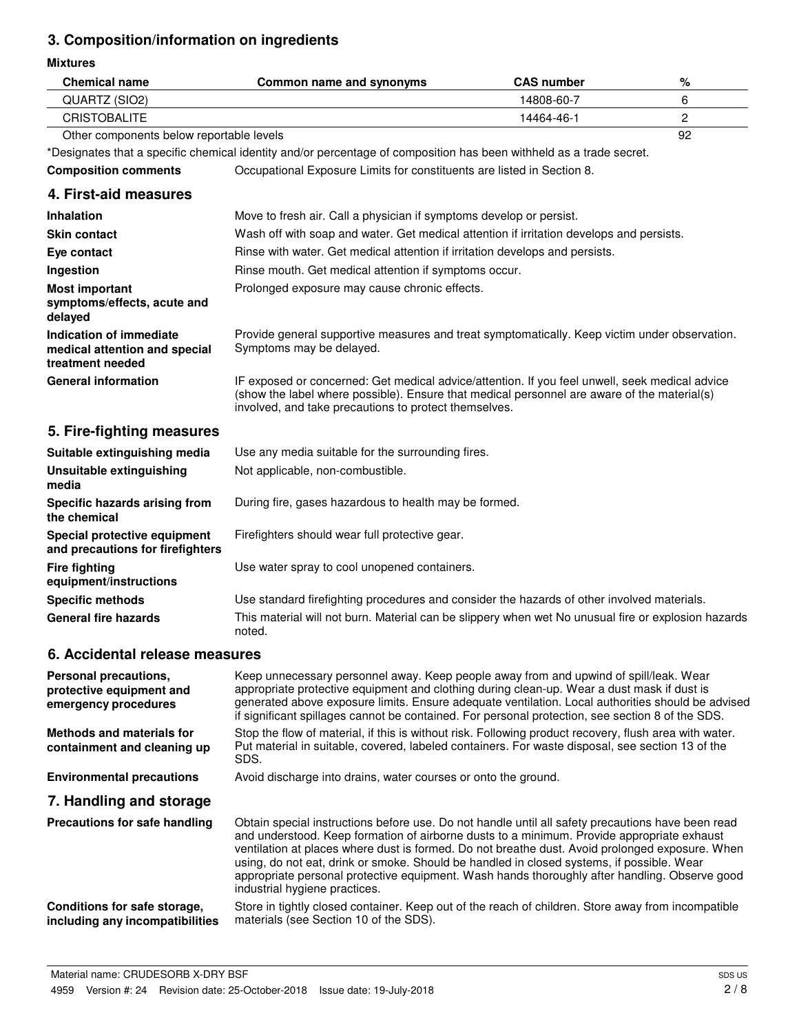# **3. Composition/information on ingredients**

#### **Mixtures**

| <b>Mixtures</b>                                                              |                                                                                                                                                                                                                                                                                                                                                                                                                                                                                                                                   |                   |                |
|------------------------------------------------------------------------------|-----------------------------------------------------------------------------------------------------------------------------------------------------------------------------------------------------------------------------------------------------------------------------------------------------------------------------------------------------------------------------------------------------------------------------------------------------------------------------------------------------------------------------------|-------------------|----------------|
| <b>Chemical name</b>                                                         | Common name and synonyms                                                                                                                                                                                                                                                                                                                                                                                                                                                                                                          | <b>CAS number</b> | %              |
| QUARTZ (SIO2)                                                                |                                                                                                                                                                                                                                                                                                                                                                                                                                                                                                                                   | 14808-60-7        | 6              |
| <b>CRISTOBALITE</b>                                                          |                                                                                                                                                                                                                                                                                                                                                                                                                                                                                                                                   | 14464-46-1        | $\overline{c}$ |
| Other components below reportable levels                                     |                                                                                                                                                                                                                                                                                                                                                                                                                                                                                                                                   |                   | 92             |
|                                                                              | *Designates that a specific chemical identity and/or percentage of composition has been withheld as a trade secret.                                                                                                                                                                                                                                                                                                                                                                                                               |                   |                |
| <b>Composition comments</b>                                                  | Occupational Exposure Limits for constituents are listed in Section 8.                                                                                                                                                                                                                                                                                                                                                                                                                                                            |                   |                |
| 4. First-aid measures                                                        |                                                                                                                                                                                                                                                                                                                                                                                                                                                                                                                                   |                   |                |
| <b>Inhalation</b>                                                            | Move to fresh air. Call a physician if symptoms develop or persist.                                                                                                                                                                                                                                                                                                                                                                                                                                                               |                   |                |
| <b>Skin contact</b>                                                          | Wash off with soap and water. Get medical attention if irritation develops and persists.                                                                                                                                                                                                                                                                                                                                                                                                                                          |                   |                |
| Eye contact                                                                  | Rinse with water. Get medical attention if irritation develops and persists.                                                                                                                                                                                                                                                                                                                                                                                                                                                      |                   |                |
| Ingestion                                                                    | Rinse mouth. Get medical attention if symptoms occur.                                                                                                                                                                                                                                                                                                                                                                                                                                                                             |                   |                |
| <b>Most important</b><br>symptoms/effects, acute and<br>delayed              | Prolonged exposure may cause chronic effects.                                                                                                                                                                                                                                                                                                                                                                                                                                                                                     |                   |                |
| Indication of immediate<br>medical attention and special<br>treatment needed | Provide general supportive measures and treat symptomatically. Keep victim under observation.<br>Symptoms may be delayed.                                                                                                                                                                                                                                                                                                                                                                                                         |                   |                |
| <b>General information</b>                                                   | IF exposed or concerned: Get medical advice/attention. If you feel unwell, seek medical advice<br>(show the label where possible). Ensure that medical personnel are aware of the material(s)<br>involved, and take precautions to protect themselves.                                                                                                                                                                                                                                                                            |                   |                |
| 5. Fire-fighting measures                                                    |                                                                                                                                                                                                                                                                                                                                                                                                                                                                                                                                   |                   |                |
| Suitable extinguishing media                                                 | Use any media suitable for the surrounding fires.                                                                                                                                                                                                                                                                                                                                                                                                                                                                                 |                   |                |
| Unsuitable extinguishing<br>media                                            | Not applicable, non-combustible.                                                                                                                                                                                                                                                                                                                                                                                                                                                                                                  |                   |                |
| Specific hazards arising from<br>the chemical                                | During fire, gases hazardous to health may be formed.                                                                                                                                                                                                                                                                                                                                                                                                                                                                             |                   |                |
| Special protective equipment<br>and precautions for firefighters             | Firefighters should wear full protective gear.                                                                                                                                                                                                                                                                                                                                                                                                                                                                                    |                   |                |
| <b>Fire fighting</b><br>equipment/instructions                               | Use water spray to cool unopened containers.                                                                                                                                                                                                                                                                                                                                                                                                                                                                                      |                   |                |
| <b>Specific methods</b>                                                      | Use standard firefighting procedures and consider the hazards of other involved materials.                                                                                                                                                                                                                                                                                                                                                                                                                                        |                   |                |
| General fire hazards                                                         | This material will not burn. Material can be slippery when wet No unusual fire or explosion hazards<br>noted.                                                                                                                                                                                                                                                                                                                                                                                                                     |                   |                |
| 6. Accidental release measures                                               |                                                                                                                                                                                                                                                                                                                                                                                                                                                                                                                                   |                   |                |
| Personal precautions,<br>protective equipment and<br>emergency procedures    | Keep unnecessary personnel away. Keep people away from and upwind of spill/leak. Wear<br>appropriate protective equipment and clothing during clean-up. Wear a dust mask if dust is<br>generated above exposure limits. Ensure adequate ventilation. Local authorities should be advised<br>if significant spillages cannot be contained. For personal protection, see section 8 of the SDS.                                                                                                                                      |                   |                |
| <b>Methods and materials for</b><br>containment and cleaning up              | Stop the flow of material, if this is without risk. Following product recovery, flush area with water.<br>Put material in suitable, covered, labeled containers. For waste disposal, see section 13 of the<br>SDS.                                                                                                                                                                                                                                                                                                                |                   |                |
| <b>Environmental precautions</b>                                             | Avoid discharge into drains, water courses or onto the ground.                                                                                                                                                                                                                                                                                                                                                                                                                                                                    |                   |                |
| 7. Handling and storage                                                      |                                                                                                                                                                                                                                                                                                                                                                                                                                                                                                                                   |                   |                |
| Precautions for safe handling                                                | Obtain special instructions before use. Do not handle until all safety precautions have been read<br>and understood. Keep formation of airborne dusts to a minimum. Provide appropriate exhaust<br>ventilation at places where dust is formed. Do not breathe dust. Avoid prolonged exposure. When<br>using, do not eat, drink or smoke. Should be handled in closed systems, if possible. Wear<br>appropriate personal protective equipment. Wash hands thoroughly after handling. Observe good<br>industrial hygiene practices. |                   |                |
| Conditions for safe storage,                                                 | Store in tightly closed container. Keep out of the reach of children. Store away from incompatible                                                                                                                                                                                                                                                                                                                                                                                                                                |                   |                |

Material name: CRUDESORB X-DRY BSF 4959 Version #: 24 Revision date: 25-October-2018 Issue date: 19-July-2018

**including any incompatibilities**

materials (see Section 10 of the SDS).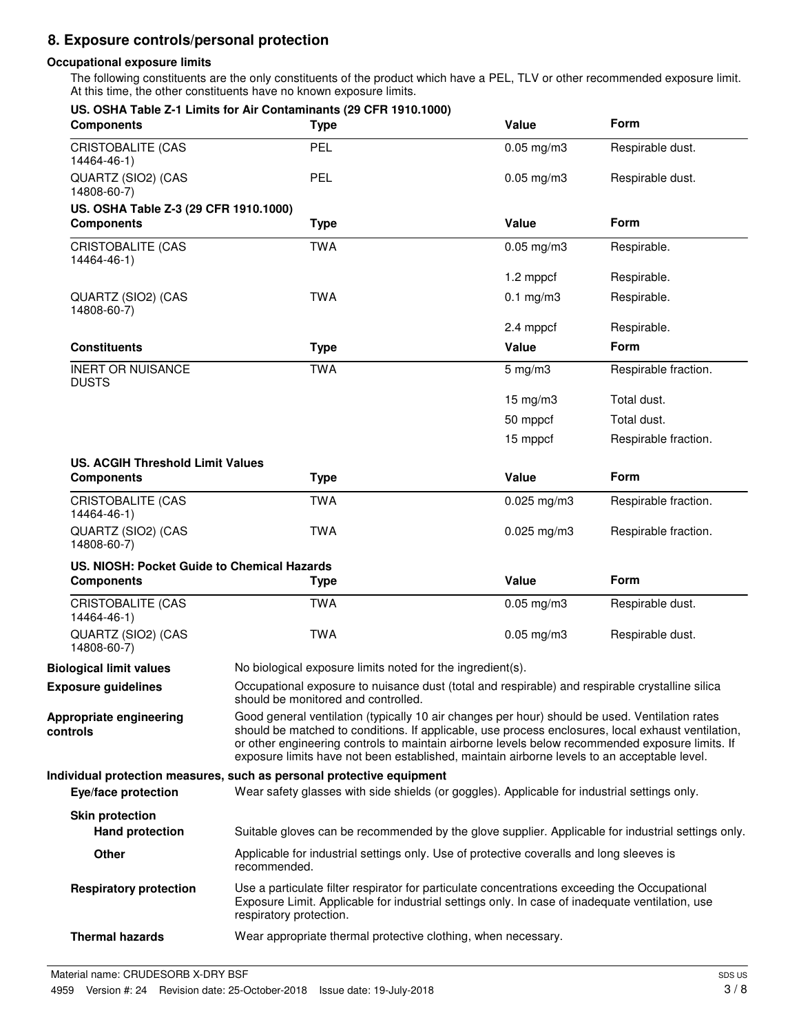# **8. Exposure controls/personal protection**

## **Occupational exposure limits**

The following constituents are the only constituents of the product which have a PEL, TLV or other recommended exposure limit. At this time, the other constituents have no known exposure limits.

| <b>Components</b>                                | US. OSHA Table Z-1 Limits for Air Contaminants (29 CFR 1910.1000)<br><b>Type</b>                                                                                                                                                                                                                                                                                                                       | Value           | <b>Form</b>          |
|--------------------------------------------------|--------------------------------------------------------------------------------------------------------------------------------------------------------------------------------------------------------------------------------------------------------------------------------------------------------------------------------------------------------------------------------------------------------|-----------------|----------------------|
| <b>CRISTOBALITE (CAS</b><br>14464-46-1)          | PEL                                                                                                                                                                                                                                                                                                                                                                                                    | $0.05$ mg/m $3$ | Respirable dust.     |
| QUARTZ (SIO2) (CAS<br>14808-60-7)                | PEL                                                                                                                                                                                                                                                                                                                                                                                                    | $0.05$ mg/m $3$ | Respirable dust.     |
| US. OSHA Table Z-3 (29 CFR 1910.1000)            |                                                                                                                                                                                                                                                                                                                                                                                                        |                 |                      |
| <b>Components</b>                                | <b>Type</b>                                                                                                                                                                                                                                                                                                                                                                                            | Value           | Form                 |
| <b>CRISTOBALITE (CAS</b><br>14464-46-1)          | <b>TWA</b>                                                                                                                                                                                                                                                                                                                                                                                             | $0.05$ mg/m $3$ | Respirable.          |
|                                                  |                                                                                                                                                                                                                                                                                                                                                                                                        | 1.2 mppcf       | Respirable.          |
| QUARTZ (SIO2) (CAS<br>14808-60-7)                | <b>TWA</b>                                                                                                                                                                                                                                                                                                                                                                                             | $0.1$ mg/m3     | Respirable.          |
|                                                  |                                                                                                                                                                                                                                                                                                                                                                                                        | 2.4 mppcf       | Respirable.          |
| <b>Constituents</b>                              | <b>Type</b>                                                                                                                                                                                                                                                                                                                                                                                            | Value           | Form                 |
| <b>INERT OR NUISANCE</b><br><b>DUSTS</b>         | <b>TWA</b>                                                                                                                                                                                                                                                                                                                                                                                             | $5$ mg/m $3$    | Respirable fraction. |
|                                                  |                                                                                                                                                                                                                                                                                                                                                                                                        | 15 mg/m3        | Total dust.          |
|                                                  |                                                                                                                                                                                                                                                                                                                                                                                                        | 50 mppcf        | Total dust.          |
|                                                  |                                                                                                                                                                                                                                                                                                                                                                                                        | 15 mppcf        | Respirable fraction. |
| <b>US. ACGIH Threshold Limit Values</b>          |                                                                                                                                                                                                                                                                                                                                                                                                        |                 |                      |
| <b>Components</b>                                | <b>Type</b>                                                                                                                                                                                                                                                                                                                                                                                            | Value           | Form                 |
| CRISTOBALITE (CAS<br>14464-46-1)                 | <b>TWA</b>                                                                                                                                                                                                                                                                                                                                                                                             | $0.025$ mg/m3   | Respirable fraction. |
| QUARTZ (SIO2) (CAS<br>14808-60-7)                | <b>TWA</b>                                                                                                                                                                                                                                                                                                                                                                                             | $0.025$ mg/m3   | Respirable fraction. |
| US. NIOSH: Pocket Guide to Chemical Hazards      |                                                                                                                                                                                                                                                                                                                                                                                                        |                 |                      |
| <b>Components</b>                                | <b>Type</b>                                                                                                                                                                                                                                                                                                                                                                                            | Value           | Form                 |
| <b>CRISTOBALITE (CAS</b><br>14464-46-1)          | <b>TWA</b>                                                                                                                                                                                                                                                                                                                                                                                             | $0.05$ mg/m $3$ | Respirable dust.     |
| QUARTZ (SIO2) (CAS<br>14808-60-7)                | <b>TWA</b>                                                                                                                                                                                                                                                                                                                                                                                             | $0.05$ mg/m $3$ | Respirable dust.     |
| <b>Biological limit values</b>                   | No biological exposure limits noted for the ingredient(s).                                                                                                                                                                                                                                                                                                                                             |                 |                      |
| <b>Exposure guidelines</b>                       | Occupational exposure to nuisance dust (total and respirable) and respirable crystalline silica<br>should be monitored and controlled.                                                                                                                                                                                                                                                                 |                 |                      |
| Appropriate engineering<br>controls              | Good general ventilation (typically 10 air changes per hour) should be used. Ventilation rates<br>should be matched to conditions. If applicable, use process enclosures, local exhaust ventilation,<br>or other engineering controls to maintain airborne levels below recommended exposure limits. If<br>exposure limits have not been established, maintain airborne levels to an acceptable level. |                 |                      |
| Eye/face protection                              | Individual protection measures, such as personal protective equipment<br>Wear safety glasses with side shields (or goggles). Applicable for industrial settings only.                                                                                                                                                                                                                                  |                 |                      |
| <b>Skin protection</b><br><b>Hand protection</b> |                                                                                                                                                                                                                                                                                                                                                                                                        |                 |                      |
| Other                                            | Suitable gloves can be recommended by the glove supplier. Applicable for industrial settings only.<br>Applicable for industrial settings only. Use of protective coveralls and long sleeves is                                                                                                                                                                                                         |                 |                      |
| <b>Respiratory protection</b>                    | recommended.<br>Use a particulate filter respirator for particulate concentrations exceeding the Occupational<br>Exposure Limit. Applicable for industrial settings only. In case of inadequate ventilation, use                                                                                                                                                                                       |                 |                      |
|                                                  | respiratory protection.                                                                                                                                                                                                                                                                                                                                                                                |                 |                      |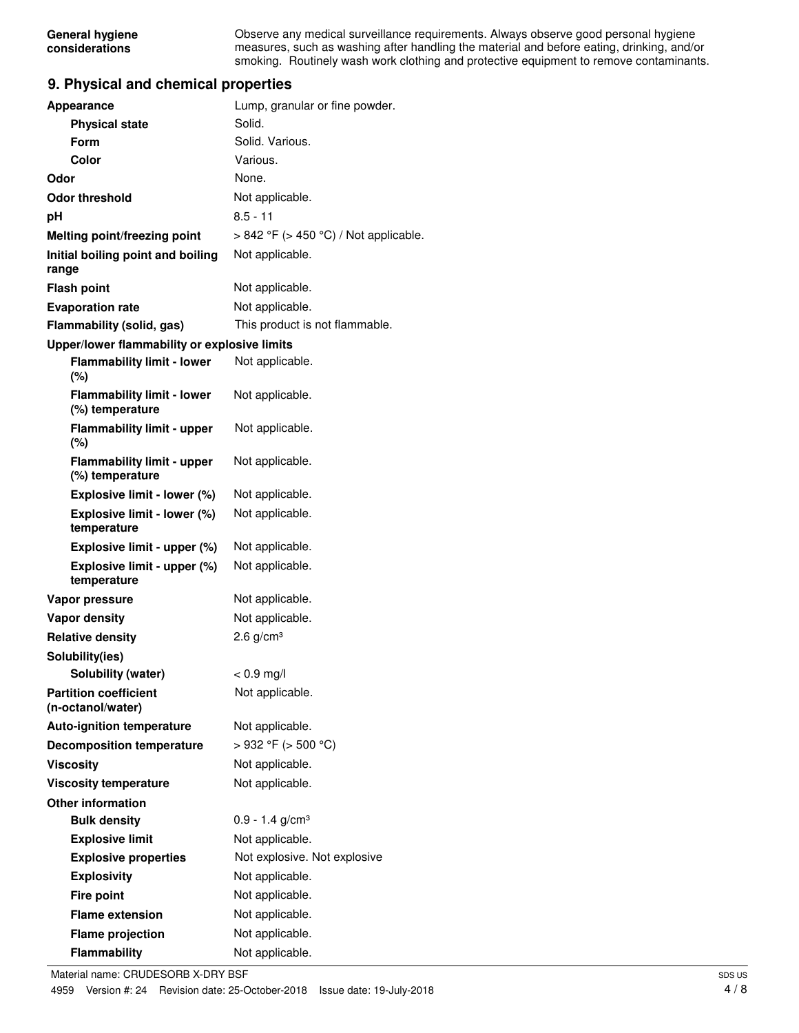Observe any medical surveillance requirements. Always observe good personal hygiene measures, such as washing after handling the material and before eating, drinking, and/or smoking. Routinely wash work clothing and protective equipment to remove contaminants.

# **9. Physical and chemical properties**

| <b>Appearance</b>                                    | Lump, granular or fine powder.             |
|------------------------------------------------------|--------------------------------------------|
| <b>Physical state</b>                                | Solid.                                     |
| Form                                                 | Solid. Various.                            |
| Color                                                | Various.                                   |
| Odor                                                 | None.                                      |
| <b>Odor threshold</b>                                | Not applicable.                            |
| рH                                                   | $8.5 - 11$                                 |
| Melting point/freezing point                         | $> 842$ °F ( $> 450$ °C) / Not applicable. |
| Initial boiling point and boiling<br>range           | Not applicable.                            |
| <b>Flash point</b>                                   | Not applicable.                            |
| <b>Evaporation rate</b>                              | Not applicable.                            |
| Flammability (solid, gas)                            | This product is not flammable.             |
| Upper/lower flammability or explosive limits         |                                            |
| <b>Flammability limit - lower</b><br>$(\%)$          | Not applicable.                            |
| <b>Flammability limit - lower</b><br>(%) temperature | Not applicable.                            |
| <b>Flammability limit - upper</b><br>$(\%)$          | Not applicable.                            |
| <b>Flammability limit - upper</b><br>(%) temperature | Not applicable.                            |
| Explosive limit - lower (%)                          | Not applicable.                            |
| Explosive limit - lower (%)<br>temperature           | Not applicable.                            |
| Explosive limit - upper (%)                          | Not applicable.                            |
| Explosive limit - upper (%)<br>temperature           | Not applicable.                            |
| Vapor pressure                                       | Not applicable.                            |
| <b>Vapor density</b>                                 | Not applicable.                            |
| <b>Relative density</b>                              | 2.6 $g/cm3$                                |
| Solubility(ies)                                      |                                            |
| Solubility (water)                                   | $< 0.9$ mg/l                               |
| <b>Partition coefficient</b><br>(n-octanol/water)    | Not applicable.                            |
| <b>Auto-ignition temperature</b>                     | Not applicable.                            |
| <b>Decomposition temperature</b>                     | >932 °F (> 500 °C)                         |
| <b>Viscosity</b>                                     | Not applicable.                            |
| <b>Viscosity temperature</b>                         | Not applicable.                            |
| <b>Other information</b>                             |                                            |
| <b>Bulk density</b>                                  | $0.9 - 1.4$ g/cm <sup>3</sup>              |
| <b>Explosive limit</b>                               | Not applicable.                            |
| <b>Explosive properties</b>                          | Not explosive. Not explosive               |
| <b>Explosivity</b>                                   | Not applicable.                            |
| <b>Fire point</b>                                    | Not applicable.                            |
| <b>Flame extension</b>                               | Not applicable.                            |
| <b>Flame projection</b>                              | Not applicable.                            |
| Flammability                                         | Not applicable.                            |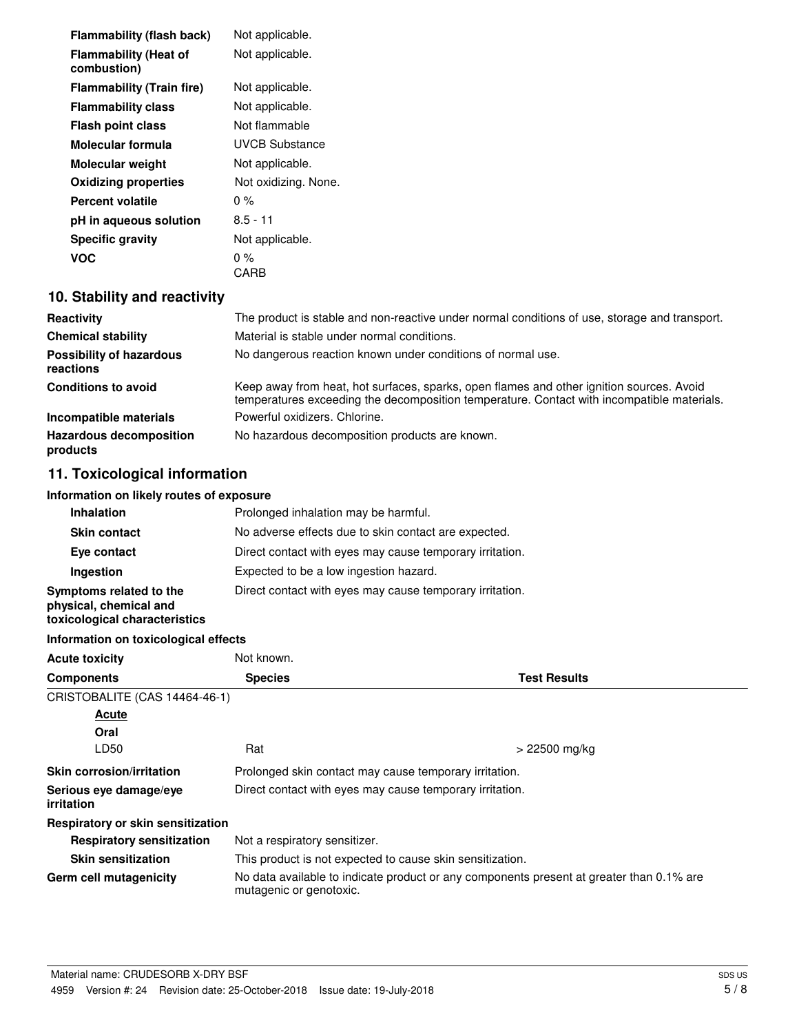| <b>Flammability (flash back)</b>            | Not applicable.      |
|---------------------------------------------|----------------------|
| <b>Flammability (Heat of</b><br>combustion) | Not applicable.      |
| <b>Flammability (Train fire)</b>            | Not applicable.      |
| <b>Flammability class</b>                   | Not applicable.      |
| <b>Flash point class</b>                    | Not flammable        |
| Molecular formula                           | UVCB Substance       |
| <b>Molecular weight</b>                     | Not applicable.      |
| <b>Oxidizing properties</b>                 | Not oxidizing. None. |
| Percent volatile                            | $0\%$                |
| pH in aqueous solution                      | $8.5 - 11$           |
| <b>Specific gravity</b>                     | Not applicable.      |
| VOC                                         | 0 %                  |
|                                             | CARB                 |

# **10. Stability and reactivity**

| Reactivity                                   | The product is stable and non-reactive under normal conditions of use, storage and transport.                                                                                          |
|----------------------------------------------|----------------------------------------------------------------------------------------------------------------------------------------------------------------------------------------|
| <b>Chemical stability</b>                    | Material is stable under normal conditions.                                                                                                                                            |
| <b>Possibility of hazardous</b><br>reactions | No dangerous reaction known under conditions of normal use.                                                                                                                            |
| <b>Conditions to avoid</b>                   | Keep away from heat, hot surfaces, sparks, open flames and other ignition sources. Avoid<br>temperatures exceeding the decomposition temperature. Contact with incompatible materials. |
| Incompatible materials                       | Powerful oxidizers, Chlorine.                                                                                                                                                          |
| <b>Hazardous decomposition</b><br>products   | No hazardous decomposition products are known.                                                                                                                                         |

# **11. Toxicological information**

# **Information on likely routes of exposure**

| <b>Inhalation</b>                                                                  | Prolonged inhalation may be harmful.                     |  |  |
|------------------------------------------------------------------------------------|----------------------------------------------------------|--|--|
| No adverse effects due to skin contact are expected.<br><b>Skin contact</b>        |                                                          |  |  |
| Eye contact                                                                        | Direct contact with eyes may cause temporary irritation. |  |  |
| Ingestion                                                                          | Expected to be a low ingestion hazard.                   |  |  |
| Symptoms related to the<br>physical, chemical and<br>toxicological characteristics | Direct contact with eyes may cause temporary irritation. |  |  |

# **Information on toxicological effects**

| <b>Acute toxicity</b>                       | Not known.                                                                                                          |                     |  |
|---------------------------------------------|---------------------------------------------------------------------------------------------------------------------|---------------------|--|
| <b>Components</b>                           | <b>Species</b>                                                                                                      | <b>Test Results</b> |  |
| CRISTOBALITE (CAS 14464-46-1)               |                                                                                                                     |                     |  |
| Acute                                       |                                                                                                                     |                     |  |
| Oral                                        |                                                                                                                     |                     |  |
| LD50                                        | Rat                                                                                                                 | > 22500 mg/kg       |  |
| <b>Skin corrosion/irritation</b>            | Prolonged skin contact may cause temporary irritation.                                                              |                     |  |
| Serious eye damage/eye<br><i>irritation</i> | Direct contact with eyes may cause temporary irritation.                                                            |                     |  |
| Respiratory or skin sensitization           |                                                                                                                     |                     |  |
| <b>Respiratory sensitization</b>            | Not a respiratory sensitizer.                                                                                       |                     |  |
| <b>Skin sensitization</b>                   | This product is not expected to cause skin sensitization.                                                           |                     |  |
| Germ cell mutagenicity                      | No data available to indicate product or any components present at greater than 0.1% are<br>mutagenic or genotoxic. |                     |  |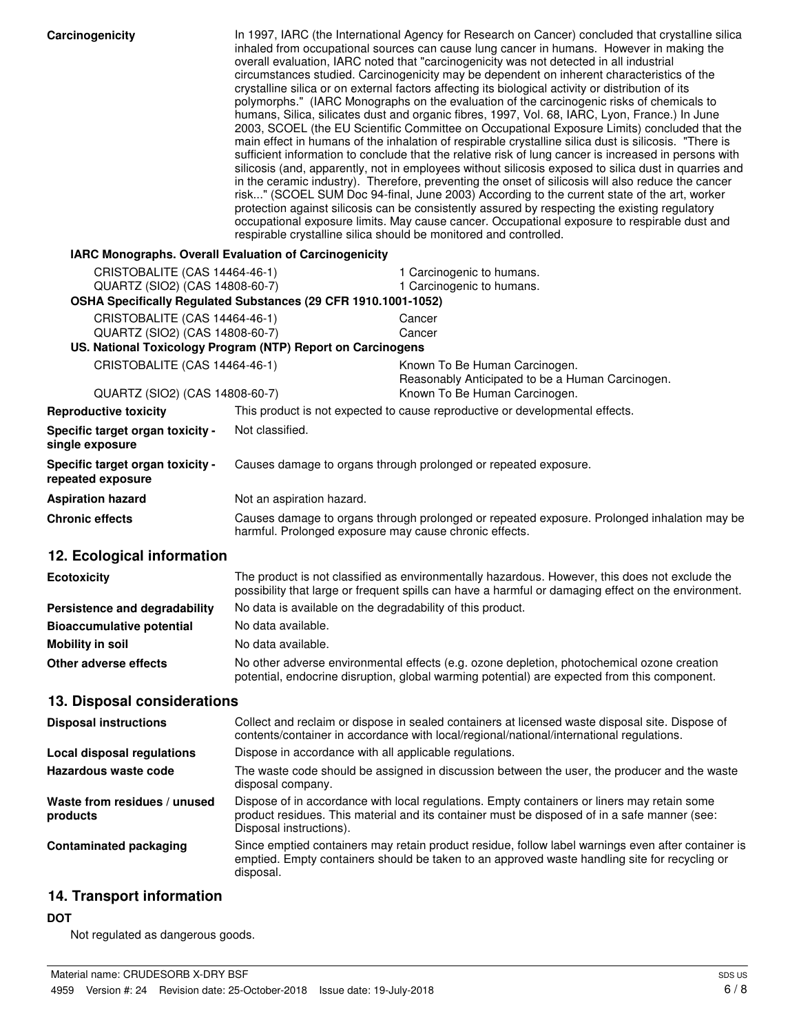| Carcinogenicity                                                 | In 1997, IARC (the International Agency for Research on Cancer) concluded that crystalline silica<br>inhaled from occupational sources can cause lung cancer in humans. However in making the<br>overall evaluation, IARC noted that "carcinogenicity was not detected in all industrial<br>circumstances studied. Carcinogenicity may be dependent on inherent characteristics of the<br>crystalline silica or on external factors affecting its biological activity or distribution of its<br>polymorphs." (IARC Monographs on the evaluation of the carcinogenic risks of chemicals to<br>humans, Silica, silicates dust and organic fibres, 1997, Vol. 68, IARC, Lyon, France.) In June<br>2003, SCOEL (the EU Scientific Committee on Occupational Exposure Limits) concluded that the<br>main effect in humans of the inhalation of respirable crystalline silica dust is silicosis. "There is<br>sufficient information to conclude that the relative risk of lung cancer is increased in persons with<br>silicosis (and, apparently, not in employees without silicosis exposed to silica dust in quarries and<br>in the ceramic industry). Therefore, preventing the onset of silicosis will also reduce the cancer<br>risk" (SCOEL SUM Doc 94-final, June 2003) According to the current state of the art, worker<br>protection against silicosis can be consistently assured by respecting the existing regulatory<br>occupational exposure limits. May cause cancer. Occupational exposure to respirable dust and<br>respirable crystalline silica should be monitored and controlled. |                                                                                                                                                                                                       |  |
|-----------------------------------------------------------------|----------------------------------------------------------------------------------------------------------------------------------------------------------------------------------------------------------------------------------------------------------------------------------------------------------------------------------------------------------------------------------------------------------------------------------------------------------------------------------------------------------------------------------------------------------------------------------------------------------------------------------------------------------------------------------------------------------------------------------------------------------------------------------------------------------------------------------------------------------------------------------------------------------------------------------------------------------------------------------------------------------------------------------------------------------------------------------------------------------------------------------------------------------------------------------------------------------------------------------------------------------------------------------------------------------------------------------------------------------------------------------------------------------------------------------------------------------------------------------------------------------------------------------------------------------------------------------------------------|-------------------------------------------------------------------------------------------------------------------------------------------------------------------------------------------------------|--|
| IARC Monographs. Overall Evaluation of Carcinogenicity          |                                                                                                                                                                                                                                                                                                                                                                                                                                                                                                                                                                                                                                                                                                                                                                                                                                                                                                                                                                                                                                                                                                                                                                                                                                                                                                                                                                                                                                                                                                                                                                                                    |                                                                                                                                                                                                       |  |
| CRISTOBALITE (CAS 14464-46-1)                                   |                                                                                                                                                                                                                                                                                                                                                                                                                                                                                                                                                                                                                                                                                                                                                                                                                                                                                                                                                                                                                                                                                                                                                                                                                                                                                                                                                                                                                                                                                                                                                                                                    | 1 Carcinogenic to humans.                                                                                                                                                                             |  |
| QUARTZ (SIO2) (CAS 14808-60-7)                                  |                                                                                                                                                                                                                                                                                                                                                                                                                                                                                                                                                                                                                                                                                                                                                                                                                                                                                                                                                                                                                                                                                                                                                                                                                                                                                                                                                                                                                                                                                                                                                                                                    | 1 Carcinogenic to humans.                                                                                                                                                                             |  |
|                                                                 | OSHA Specifically Regulated Substances (29 CFR 1910.1001-1052)                                                                                                                                                                                                                                                                                                                                                                                                                                                                                                                                                                                                                                                                                                                                                                                                                                                                                                                                                                                                                                                                                                                                                                                                                                                                                                                                                                                                                                                                                                                                     |                                                                                                                                                                                                       |  |
| CRISTOBALITE (CAS 14464-46-1)<br>QUARTZ (SIO2) (CAS 14808-60-7) |                                                                                                                                                                                                                                                                                                                                                                                                                                                                                                                                                                                                                                                                                                                                                                                                                                                                                                                                                                                                                                                                                                                                                                                                                                                                                                                                                                                                                                                                                                                                                                                                    | Cancer<br>Cancer                                                                                                                                                                                      |  |
|                                                                 | US. National Toxicology Program (NTP) Report on Carcinogens                                                                                                                                                                                                                                                                                                                                                                                                                                                                                                                                                                                                                                                                                                                                                                                                                                                                                                                                                                                                                                                                                                                                                                                                                                                                                                                                                                                                                                                                                                                                        |                                                                                                                                                                                                       |  |
| CRISTOBALITE (CAS 14464-46-1)                                   |                                                                                                                                                                                                                                                                                                                                                                                                                                                                                                                                                                                                                                                                                                                                                                                                                                                                                                                                                                                                                                                                                                                                                                                                                                                                                                                                                                                                                                                                                                                                                                                                    | Known To Be Human Carcinogen.                                                                                                                                                                         |  |
|                                                                 |                                                                                                                                                                                                                                                                                                                                                                                                                                                                                                                                                                                                                                                                                                                                                                                                                                                                                                                                                                                                                                                                                                                                                                                                                                                                                                                                                                                                                                                                                                                                                                                                    | Reasonably Anticipated to be a Human Carcinogen.                                                                                                                                                      |  |
| QUARTZ (SIO2) (CAS 14808-60-7)<br><b>Reproductive toxicity</b>  |                                                                                                                                                                                                                                                                                                                                                                                                                                                                                                                                                                                                                                                                                                                                                                                                                                                                                                                                                                                                                                                                                                                                                                                                                                                                                                                                                                                                                                                                                                                                                                                                    | Known To Be Human Carcinogen.<br>This product is not expected to cause reproductive or developmental effects.                                                                                         |  |
| Specific target organ toxicity -                                | Not classified.                                                                                                                                                                                                                                                                                                                                                                                                                                                                                                                                                                                                                                                                                                                                                                                                                                                                                                                                                                                                                                                                                                                                                                                                                                                                                                                                                                                                                                                                                                                                                                                    |                                                                                                                                                                                                       |  |
| single exposure                                                 |                                                                                                                                                                                                                                                                                                                                                                                                                                                                                                                                                                                                                                                                                                                                                                                                                                                                                                                                                                                                                                                                                                                                                                                                                                                                                                                                                                                                                                                                                                                                                                                                    |                                                                                                                                                                                                       |  |
| Specific target organ toxicity -<br>repeated exposure           |                                                                                                                                                                                                                                                                                                                                                                                                                                                                                                                                                                                                                                                                                                                                                                                                                                                                                                                                                                                                                                                                                                                                                                                                                                                                                                                                                                                                                                                                                                                                                                                                    | Causes damage to organs through prolonged or repeated exposure.                                                                                                                                       |  |
| <b>Aspiration hazard</b>                                        | Not an aspiration hazard.                                                                                                                                                                                                                                                                                                                                                                                                                                                                                                                                                                                                                                                                                                                                                                                                                                                                                                                                                                                                                                                                                                                                                                                                                                                                                                                                                                                                                                                                                                                                                                          |                                                                                                                                                                                                       |  |
| <b>Chronic effects</b>                                          | harmful. Prolonged exposure may cause chronic effects.                                                                                                                                                                                                                                                                                                                                                                                                                                                                                                                                                                                                                                                                                                                                                                                                                                                                                                                                                                                                                                                                                                                                                                                                                                                                                                                                                                                                                                                                                                                                             | Causes damage to organs through prolonged or repeated exposure. Prolonged inhalation may be                                                                                                           |  |
| 12. Ecological information                                      |                                                                                                                                                                                                                                                                                                                                                                                                                                                                                                                                                                                                                                                                                                                                                                                                                                                                                                                                                                                                                                                                                                                                                                                                                                                                                                                                                                                                                                                                                                                                                                                                    |                                                                                                                                                                                                       |  |
| <b>Ecotoxicity</b>                                              |                                                                                                                                                                                                                                                                                                                                                                                                                                                                                                                                                                                                                                                                                                                                                                                                                                                                                                                                                                                                                                                                                                                                                                                                                                                                                                                                                                                                                                                                                                                                                                                                    | The product is not classified as environmentally hazardous. However, this does not exclude the<br>possibility that large or frequent spills can have a harmful or damaging effect on the environment. |  |
| Persistence and degradability                                   | No data is available on the degradability of this product.                                                                                                                                                                                                                                                                                                                                                                                                                                                                                                                                                                                                                                                                                                                                                                                                                                                                                                                                                                                                                                                                                                                                                                                                                                                                                                                                                                                                                                                                                                                                         |                                                                                                                                                                                                       |  |
| <b>Bioaccumulative potential</b>                                | No data available.                                                                                                                                                                                                                                                                                                                                                                                                                                                                                                                                                                                                                                                                                                                                                                                                                                                                                                                                                                                                                                                                                                                                                                                                                                                                                                                                                                                                                                                                                                                                                                                 |                                                                                                                                                                                                       |  |
| <b>Mobility in soil</b>                                         | No data available.                                                                                                                                                                                                                                                                                                                                                                                                                                                                                                                                                                                                                                                                                                                                                                                                                                                                                                                                                                                                                                                                                                                                                                                                                                                                                                                                                                                                                                                                                                                                                                                 |                                                                                                                                                                                                       |  |
| Other adverse effects                                           |                                                                                                                                                                                                                                                                                                                                                                                                                                                                                                                                                                                                                                                                                                                                                                                                                                                                                                                                                                                                                                                                                                                                                                                                                                                                                                                                                                                                                                                                                                                                                                                                    | No other adverse environmental effects (e.g. ozone depletion, photochemical ozone creation<br>potential, endocrine disruption, global warming potential) are expected from this component.            |  |
| 13. Disposal considerations                                     |                                                                                                                                                                                                                                                                                                                                                                                                                                                                                                                                                                                                                                                                                                                                                                                                                                                                                                                                                                                                                                                                                                                                                                                                                                                                                                                                                                                                                                                                                                                                                                                                    |                                                                                                                                                                                                       |  |
| <b>Disposal instructions</b>                                    |                                                                                                                                                                                                                                                                                                                                                                                                                                                                                                                                                                                                                                                                                                                                                                                                                                                                                                                                                                                                                                                                                                                                                                                                                                                                                                                                                                                                                                                                                                                                                                                                    | Collect and reclaim or dispose in sealed containers at licensed waste disposal site. Dispose of<br>contents/container in accordance with local/regional/national/international regulations.           |  |
| <b>Local disposal regulations</b>                               | Dispose in accordance with all applicable regulations.                                                                                                                                                                                                                                                                                                                                                                                                                                                                                                                                                                                                                                                                                                                                                                                                                                                                                                                                                                                                                                                                                                                                                                                                                                                                                                                                                                                                                                                                                                                                             |                                                                                                                                                                                                       |  |
| Hazardous waste code                                            | disposal company.                                                                                                                                                                                                                                                                                                                                                                                                                                                                                                                                                                                                                                                                                                                                                                                                                                                                                                                                                                                                                                                                                                                                                                                                                                                                                                                                                                                                                                                                                                                                                                                  | The waste code should be assigned in discussion between the user, the producer and the waste                                                                                                          |  |
| Waste from residues / unused<br>products                        | Disposal instructions).                                                                                                                                                                                                                                                                                                                                                                                                                                                                                                                                                                                                                                                                                                                                                                                                                                                                                                                                                                                                                                                                                                                                                                                                                                                                                                                                                                                                                                                                                                                                                                            | Dispose of in accordance with local regulations. Empty containers or liners may retain some<br>product residues. This material and its container must be disposed of in a safe manner (see:           |  |
| <b>Contaminated packaging</b>                                   | disposal.                                                                                                                                                                                                                                                                                                                                                                                                                                                                                                                                                                                                                                                                                                                                                                                                                                                                                                                                                                                                                                                                                                                                                                                                                                                                                                                                                                                                                                                                                                                                                                                          | Since emptied containers may retain product residue, follow label warnings even after container is<br>emptied. Empty containers should be taken to an approved waste handling site for recycling or   |  |

# **14. Transport information**

# **DOT**

Not regulated as dangerous goods.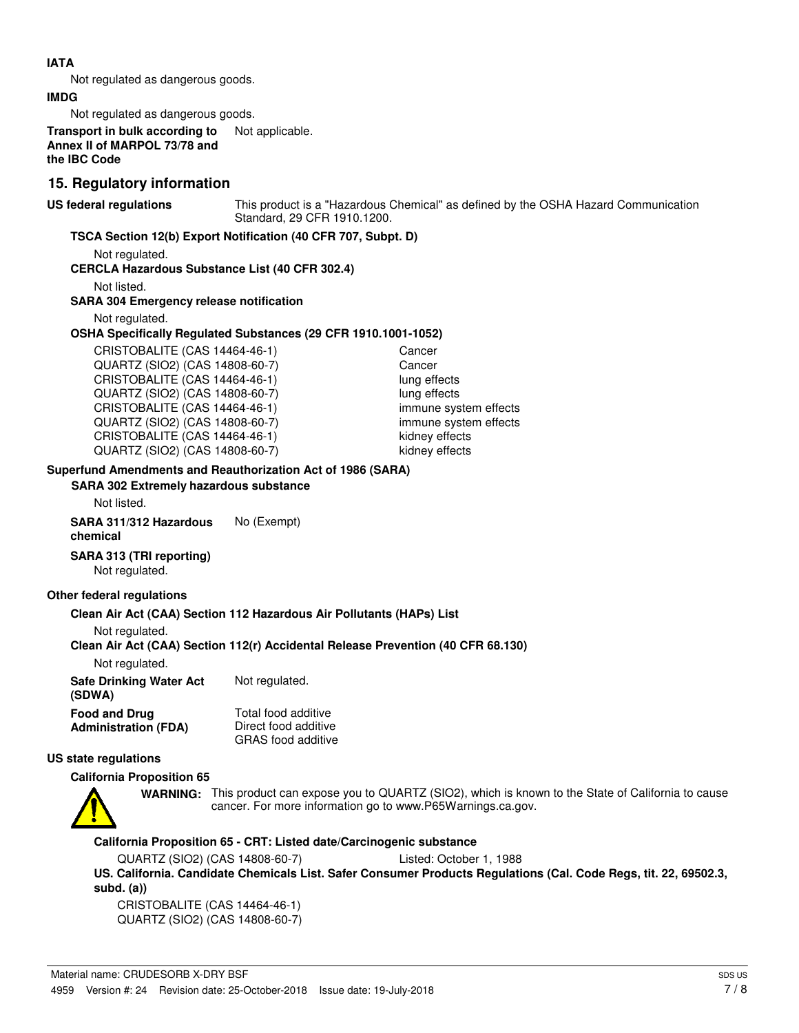## **IATA**

Not regulated as dangerous goods.

#### **IMDG**

Not regulated as dangerous goods.

**Transport in bulk according to** Not applicable. **Annex II of MARPOL 73/78 and the IBC Code**

# **15. Regulatory information**

**US federal regulations**

This product is a "Hazardous Chemical" as defined by the OSHA Hazard Communication Standard, 29 CFR 1910.1200.

# **TSCA Section 12(b) Export Notification (40 CFR 707, Subpt. D)**

Not regulated.

# **CERCLA Hazardous Substance List (40 CFR 302.4)**

Not listed.

### **SARA 304 Emergency release notification**

Not regulated.

#### **OSHA Specifically Regulated Substances (29 CFR 1910.1001-1052)**

CRISTOBALITE (CAS 14464-46-1) Cancer QUARTZ (SIO2) (CAS 14808-60-7) Cancer CRISTOBALITE (CAS 14464-46-1) lung effects QUARTZ (SIO2) (CAS 14808-60-7) lung effects CRISTOBALITE (CAS 14464-46-1) immune system effects QUARTZ (SIO2) (CAS 14808-60-7) immune system effects CRISTOBALITE (CAS 14464-46-1) kidney effects QUARTZ (SIO2) (CAS 14808-60-7) kidney effects

# **Superfund Amendments and Reauthorization Act of 1986 (SARA)**

**SARA 302 Extremely hazardous substance**

Not listed.

**SARA 311/312 Hazardous** No (Exempt) **chemical**

# **SARA 313 (TRI reporting)**

Not regulated.

### **Other federal regulations**

### **Clean Air Act (CAA) Section 112 Hazardous Air Pollutants (HAPs) List**

Not regulated.

### **Clean Air Act (CAA) Section 112(r) Accidental Release Prevention (40 CFR 68.130)**

Not regulated.

| <b>Safe Drinking Water Act</b><br>(SDWA) | Not regulated.            |  |
|------------------------------------------|---------------------------|--|
| <b>Food and Drug</b>                     | Total food additive       |  |
| <b>Administration (FDA)</b>              | Direct food additive      |  |
|                                          | <b>GRAS</b> food additive |  |

# **US state regulations**

### **California Proposition 65**



WARNING: This product can expose you to QUARTZ (SIO2), which is known to the State of California to cause cancer. For more information go to www.P65Warnings.ca.gov.

**California Proposition 65 - CRT: Listed date/Carcinogenic substance**

QUARTZ (SIO2) (CAS 14808-60-7) Listed: October 1, 1988

**US. California. Candidate Chemicals List. Safer Consumer Products Regulations (Cal. Code Regs, tit. 22, 69502.3, subd. (a))**

CRISTOBALITE (CAS 14464-46-1) QUARTZ (SIO2) (CAS 14808-60-7)